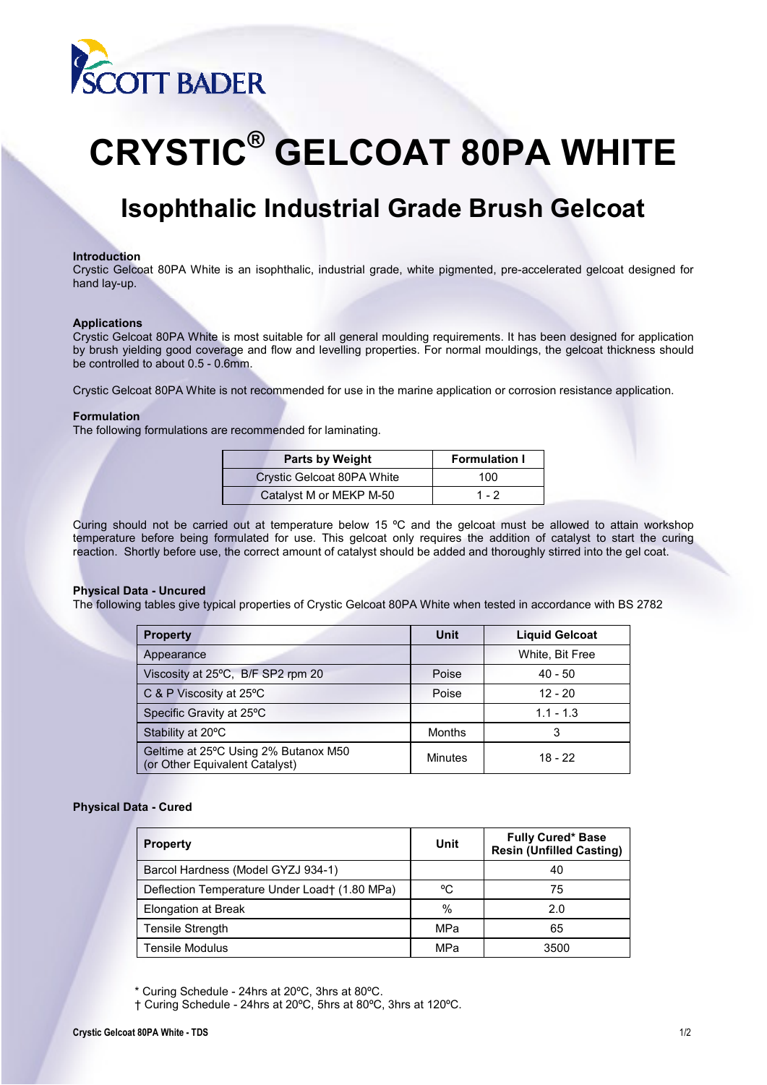

# **CRYSTIC® GELCOAT 80PA WHITE**

# **Isophthalic Industrial Grade Brush Gelcoat**

#### **Introduction**

Crystic Gelcoat 80PA White is an isophthalic, industrial grade, white pigmented, pre-accelerated gelcoat designed for hand lay-up.

#### **Applications**

Crystic Gelcoat 80PA White is most suitable for all general moulding requirements. It has been designed for application by brush yielding good coverage and flow and levelling properties. For normal mouldings, the gelcoat thickness should be controlled to about 0.5 - 0.6mm.

Crystic Gelcoat 80PA White is not recommended for use in the marine application or corrosion resistance application.

### **Formulation**

The following formulations are recommended for laminating.

| Parts by Weight            | <b>Formulation I</b> |
|----------------------------|----------------------|
| Crystic Gelcoat 80PA White | 100                  |
| Catalyst M or MEKP M-50    | 1 - 2                |

Curing should not be carried out at temperature below 15 ºC and the gelcoat must be allowed to attain workshop temperature before being formulated for use. This gelcoat only requires the addition of catalyst to start the curing reaction. Shortly before use, the correct amount of catalyst should be added and thoroughly stirred into the gel coat.

# **Physical Data - Uncured**

The following tables give typical properties of Crystic Gelcoat 80PA White when tested in accordance with BS 2782

| <b>Property</b>                                                        | Unit           | <b>Liquid Gelcoat</b> |
|------------------------------------------------------------------------|----------------|-----------------------|
| Appearance                                                             |                | White, Bit Free       |
| Viscosity at 25°C, B/F SP2 rpm 20                                      | Poise          | $40 - 50$             |
| C & P Viscosity at $25^{\circ}$ C                                      | Poise          | $12 - 20$             |
| Specific Gravity at 25°C                                               |                | $1.1 - 1.3$           |
| Stability at 20°C                                                      | <b>Months</b>  | 3                     |
| Geltime at 25°C Using 2% Butanox M50<br>(or Other Equivalent Catalyst) | <b>Minutes</b> | 18 - 22               |

#### **Physical Data - Cured**

| <b>Property</b>                               | Unit          | <b>Fully Cured* Base</b><br><b>Resin (Unfilled Casting)</b> |
|-----------------------------------------------|---------------|-------------------------------------------------------------|
| Barcol Hardness (Model GYZJ 934-1)            |               | 40                                                          |
| Deflection Temperature Under Load† (1.80 MPa) | °C            | 75                                                          |
| Elongation at Break                           | $\frac{0}{0}$ | 2.0                                                         |
| <b>Tensile Strength</b>                       | MPa           | 65                                                          |
| <b>Tensile Modulus</b>                        | MPa           | 3500                                                        |

\* Curing Schedule - 24hrs at 20ºC, 3hrs at 80ºC.

 <sup>†</sup> Curing Schedule - 24hrs at 20ºC, 5hrs at 80ºC, 3hrs at 120ºC.